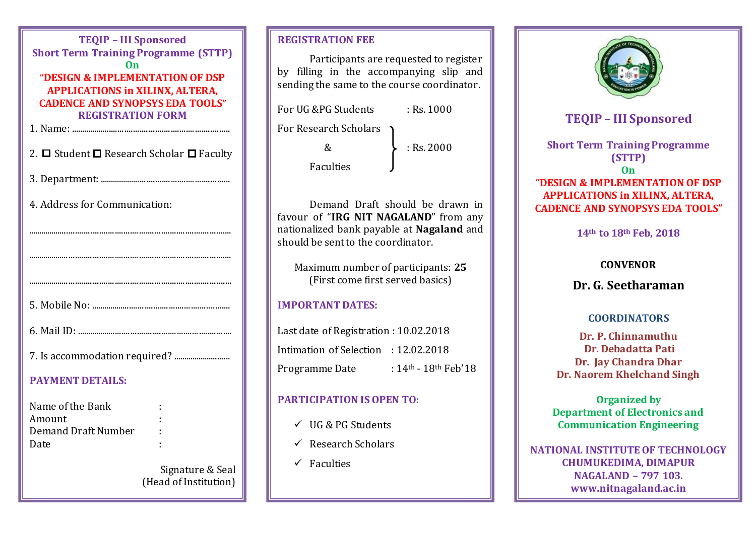| <b>TEQIP - III Sponsored</b><br><b>Short Term Training Programme (STTP)</b><br>0n<br>"DESIGN & IMPLEMENTATION OF DSP<br><b>APPLICATIONS in XILINX, ALTERA,</b><br><b>CADENCE AND SYNOPSYS EDA TOOLS"</b><br><b>REGISTRATION FORM</b> |                  |
|--------------------------------------------------------------------------------------------------------------------------------------------------------------------------------------------------------------------------------------|------------------|
|                                                                                                                                                                                                                                      |                  |
| 2. $\Box$ Student $\Box$ Research Scholar $\Box$ Faculty                                                                                                                                                                             |                  |
|                                                                                                                                                                                                                                      |                  |
| 4. Address for Communication:                                                                                                                                                                                                        |                  |
|                                                                                                                                                                                                                                      |                  |
|                                                                                                                                                                                                                                      |                  |
|                                                                                                                                                                                                                                      |                  |
|                                                                                                                                                                                                                                      |                  |
|                                                                                                                                                                                                                                      |                  |
|                                                                                                                                                                                                                                      |                  |
| <b>PAYMENT DETAILS:</b>                                                                                                                                                                                                              |                  |
| Name of the Bank<br>Amount<br><b>Demand Draft Number</b><br>Date                                                                                                                                                                     |                  |
|                                                                                                                                                                                                                                      | Signature & Seal |

Signature & Seal (Head of Institution)

# **REGISTRATION FEE**

Participants are requested to register by filling in the accompanying slip and sending the same to the course coordinator.

For UG & PG Students : Rs. 1000

For Research Scholars

 $\& \quad \& \quad \quad \star \quad \quad \cdot \quad \quad \text{Rs. } 2000$ 

Faculties

Demand Draft should be drawn in favour of "**IRG NIT NAGALAND**" from any nationalized bank payable at **Nagaland** and should be sent to the coordinator.

Maximum number of participants: **25** (First come first served basics)

## **IMPORTANT DATES:**

Last date of Registration : 10.02.2018 Intimation of Selection : 12.02.2018 Programme Date : 14<sup>th</sup> - 18<sup>th</sup> Feb'18

# **PARTICIPATION IS OPEN TO:**

- $\checkmark$  UG & PG Students
- $\checkmark$  Research Scholars
- $\checkmark$  Faculties



# **TEQIP – III Sponsored**

**Short Term Training Programme (STTP) On "DESIGN & IMPLEMENTATION OF DSP APPLICATIONS in XILINX, ALTERA, CADENCE AND SYNOPSYS EDA TOOLS"**

**14th to 18th Feb, 2018**

## **CONVENOR**

**Dr. G. Seetharaman**

## **COORDINATORS**

**Dr. P. Chinnamuthu Dr. Debadatta Pati Dr. Jay Chandra Dhar Dr. Naorem Khelchand Singh**

**Organized by Department of Electronics and Communication Engineering**

**NATIONAL INSTITUTE OF TECHNOLOGY CHUMUKEDIMA, DIMAPUR NAGALAND – 797 103. www.nitnagaland.ac.in**